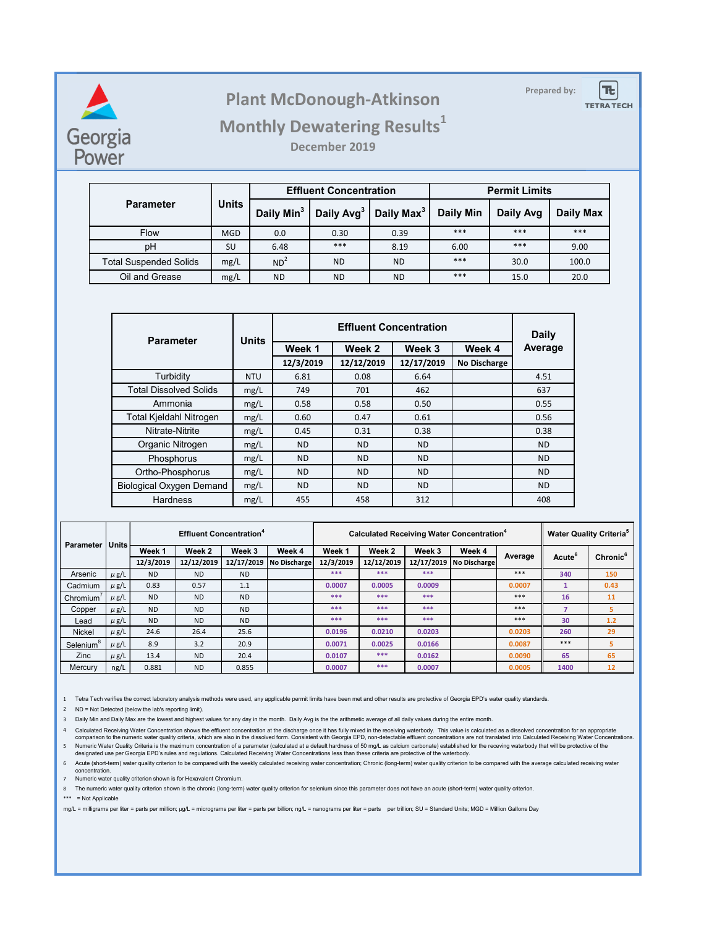

## **Prepared by: Plant McDonough-Atkinson**



## **Monthly Dewatering Results<sup>1</sup>**

**December 2019**

|                               | Units      |                        | <b>Effluent Concentration</b> |                        | <b>Permit Limits</b> |           |           |  |
|-------------------------------|------------|------------------------|-------------------------------|------------------------|----------------------|-----------|-----------|--|
| <b>Parameter</b>              |            | Daily Min <sup>3</sup> | Daily Avg <sup>3</sup>        | Daily Max <sup>3</sup> | Daily Min            | Daily Avg | Daily Max |  |
| <b>Flow</b>                   | <b>MGD</b> | 0.0                    | 0.30                          | 0.39                   | ***                  | ***       | ***       |  |
| pH                            | SU         | 6.48                   | ***                           | 8.19                   | 6.00                 | ***       | 9.00      |  |
| <b>Total Suspended Solids</b> | mg/L       | ND <sup>2</sup>        | <b>ND</b>                     | <b>ND</b>              | ***                  | 30.0      | 100.0     |  |
| Oil and Grease                | mg/L       | <b>ND</b>              | <b>ND</b>                     | <b>ND</b>              | ***                  | 15.0      | 20.0      |  |

| <b>Parameter</b>                | <b>Units</b> |           | Daily      |            |                     |           |
|---------------------------------|--------------|-----------|------------|------------|---------------------|-----------|
|                                 |              | Week 1    | Week 2     | Week 3     | Week 4              | Average   |
|                                 |              | 12/3/2019 | 12/12/2019 | 12/17/2019 | <b>No Discharge</b> |           |
| Turbidity                       | <b>NTU</b>   | 6.81      | 0.08       | 6.64       |                     | 4.51      |
| <b>Total Dissolved Solids</b>   | mg/L         | 749       | 701        | 462        |                     | 637       |
| Ammonia                         | mg/L         | 0.58      | 0.58       | 0.50       |                     | 0.55      |
| <b>Total Kjeldahl Nitrogen</b>  | mg/L         | 0.60      | 0.47       | 0.61       |                     | 0.56      |
| Nitrate-Nitrite                 | mg/L         | 0.45      | 0.31       | 0.38       |                     | 0.38      |
| Organic Nitrogen                | mg/L         | <b>ND</b> | <b>ND</b>  | <b>ND</b>  |                     | <b>ND</b> |
| Phosphorus                      | mg/L         | <b>ND</b> | <b>ND</b>  | <b>ND</b>  |                     | <b>ND</b> |
| Ortho-Phosphorus                | mg/L         | <b>ND</b> | <b>ND</b>  | <b>ND</b>  |                     | <b>ND</b> |
| <b>Biological Oxygen Demand</b> | mg/L         | <b>ND</b> | <b>ND</b>  | <b>ND</b>  |                     | <b>ND</b> |
| Hardness                        | mg/L         | 455       | 458        | 312        |                     | 408       |

| Parameter             | <b>Units</b> | <b>Effluent Concentration<sup>4</sup></b> |            |            |              | Calculated Receiving Water Concentration <sup>4</sup> |            |            |                     |        | <b>Water Quality Criteria<sup>5</sup></b> |                    |                      |
|-----------------------|--------------|-------------------------------------------|------------|------------|--------------|-------------------------------------------------------|------------|------------|---------------------|--------|-------------------------------------------|--------------------|----------------------|
|                       |              |                                           | Week 1     | Week 2     | Week 3       | Week 4                                                | Week 1     | Week 2     | Week 3              | Week 4 | Average                                   | Acute <sup>6</sup> | Chronic <sup>6</sup> |
|                       |              | 12/3/2019                                 | 12/12/2019 | 12/17/2019 | No Discharge | 12/3/2019                                             | 12/12/2019 | 12/17/2019 | <b>No Discharge</b> |        |                                           |                    |                      |
| Arsenic               | $\mu$ g/L    | <b>ND</b>                                 | <b>ND</b>  | <b>ND</b>  |              | ***                                                   | ***        | ***        |                     | ***    | 340                                       | 150                |                      |
| Cadmium               | $\mu$ g/L    | 0.83                                      | 0.57       | 1.1        |              | 0.0007                                                | 0.0005     | 0.0009     |                     | 0.0007 |                                           | 0.43               |                      |
| Chromium <sup>'</sup> | $\mu$ g/L    | <b>ND</b>                                 | <b>ND</b>  | <b>ND</b>  |              | ***                                                   | ***        | ***        |                     | ***    | 16                                        | 11                 |                      |
| Copper                | $\mu$ g/L    | <b>ND</b>                                 | <b>ND</b>  | <b>ND</b>  |              | ***                                                   | ***        | ***        |                     | ***    | $\overline{7}$                            | 5                  |                      |
| Lead                  | $\mu$ g/L    | <b>ND</b>                                 | <b>ND</b>  | <b>ND</b>  |              | ***                                                   | ***        | ***        |                     | ***    | 30                                        | 1.2                |                      |
| <b>Nickel</b>         | $\mu$ g/L    | 24.6                                      | 26.4       | 25.6       |              | 0.0196                                                | 0.0210     | 0.0203     |                     | 0.0203 | 260                                       | 29                 |                      |
| Selenium              | $\mu$ g/L    | 8.9                                       | 3.2        | 20.9       |              | 0.0071                                                | 0.0025     | 0.0166     |                     | 0.0087 | $***$                                     | 5                  |                      |
| Zinc                  | $\mu$ g/L    | 13.4                                      | <b>ND</b>  | 20.4       |              | 0.0107                                                | ***        | 0.0162     |                     | 0.0090 | 65                                        | 65                 |                      |
| Mercury               | ng/L         | 0.881                                     | <b>ND</b>  | 0.855      |              | 0.0007                                                | ***        | 0.0007     |                     | 0.0005 | 1400                                      | 12                 |                      |

1 Tetra Tech verifies the correct laboratory analysis methods were used, any applicable permit limits have been met and other results are protective of Georgia EPD's water quality standards.

2 ND = Not Detected (below the lab's reporting limit).

3 Daily Min and Daily Max are the lowest and highest values for any day in the month. Daily Avg is the the arithmetic average of all daily values during the entire month.

4 Calculated Receiving Water Concentration shows the effluent concentration at the discharge once it has fully mixed in the receiving waterbody. This value is calculated as a dissolved concentration for an appropriate comparison to the numeric water quality criteria, which are also in the dissolved form. Consistent with Georgia EPD, non-detectable effluent concentrations are not translated into Calculated Receiving Water Concentrations.

designated use per Georgia EPD's rules and regulations. Calculated Receiving Water Concentrations less than these criteria are protective of the waterbody.

6 Acute (short-term) water quality criterion to be compared with the weekly calculated receiving water concentration; Chronic (long-term) water quality criterion to be compared with the average calculated receiving water concentration.

7 Numeric water quality criterion shown is for Hexavalent Chromium.

8 The numeric water quality criterion shown is the chronic (long-term) water quality criterion for selenium since this parameter does not have an acute (short-term) water quality criterion.

\*\*\* = Not Applicable

mg/L = milligrams per liter = parts per million; µg/L = micrograms per liter = parts per bilion; ng/L = nanograms per liter = parts per trillion; SU = Standard Units; MGD = Million Gallons Day